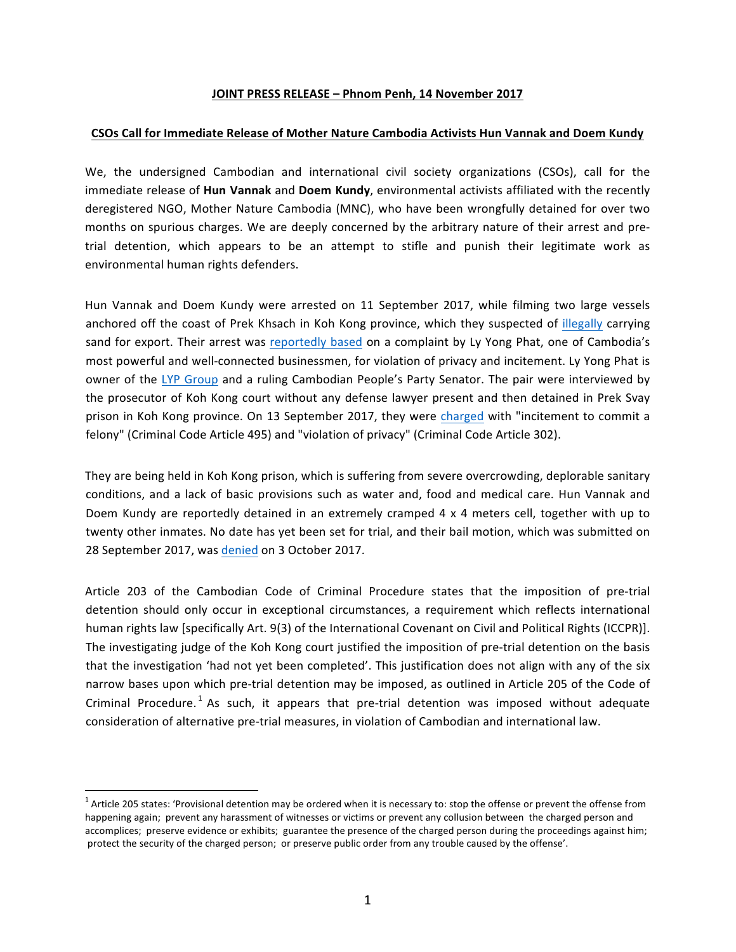## **JOINT PRESS RELEASE – Phnom Penh, 14 November 2017**

## **CSOs Call for Immediate Release of Mother Nature Cambodia Activists Hun Vannak and Doem Kundy**

We, the undersigned Cambodian and international civil society organizations (CSOs), call for the immediate release of **Hun Vannak** and **Doem Kundy**, environmental activists affiliated with the recently deregistered NGO, Mother Nature Cambodia (MNC), who have been wrongfully detained for over two months on spurious charges. We are deeply concerned by the arbitrary nature of their arrest and pretrial detention, which appears to be an attempt to stifle and punish their legitimate work as environmental human rights defenders.

Hun Vannak and Doem Kundy were arrested on 11 September 2017, while filming two large vessels anchored off the coast of Prek Khsach in Koh Kong province, which they suspected of illegally carrying sand for export. Their arrest was reportedly based on a complaint by Ly Yong Phat, one of Cambodia's most powerful and well-connected businessmen, for violation of privacy and incitement. Ly Yong Phat is owner of the LYP Group and a ruling Cambodian People's Party Senator. The pair were interviewed by the prosecutor of Koh Kong court without any defense lawyer present and then detained in Prek Svay prison in Koh Kong province. On 13 September 2017, they were charged with "incitement to commit a felony" (Criminal Code Article 495) and "violation of privacy" (Criminal Code Article 302).

They are being held in Koh Kong prison, which is suffering from severe overcrowding, deplorable sanitary conditions, and a lack of basic provisions such as water and, food and medical care. Hun Vannak and Doem Kundy are reportedly detained in an extremely cramped 4 x 4 meters cell, together with up to twenty other inmates. No date has yet been set for trial, and their bail motion, which was submitted on 28 September 2017, was denied on 3 October 2017.

Article 203 of the Cambodian Code of Criminal Procedure states that the imposition of pre-trial detention should only occur in exceptional circumstances, a requirement which reflects international human rights law [specifically Art. 9(3) of the International Covenant on Civil and Political Rights (ICCPR)]. The investigating judge of the Koh Kong court justified the imposition of pre-trial detention on the basis that the investigation 'had not yet been completed'. This justification does not align with any of the six narrow bases upon which pre-trial detention may be imposed, as outlined in Article 205 of the Code of Criminal Procedure.<sup>1</sup> As such, it appears that pre-trial detention was imposed without adequate consideration of alternative pre-trial measures, in violation of Cambodian and international law.

 $1$  Article 205 states: 'Provisional detention may be ordered when it is necessary to: stop the offense or prevent the offense from happening again; prevent any harassment of witnesses or victims or prevent any collusion between the charged person and accomplices; preserve evidence or exhibits; guarantee the presence of the charged person during the proceedings against him; protect the security of the charged person; or preserve public order from any trouble caused by the offense'.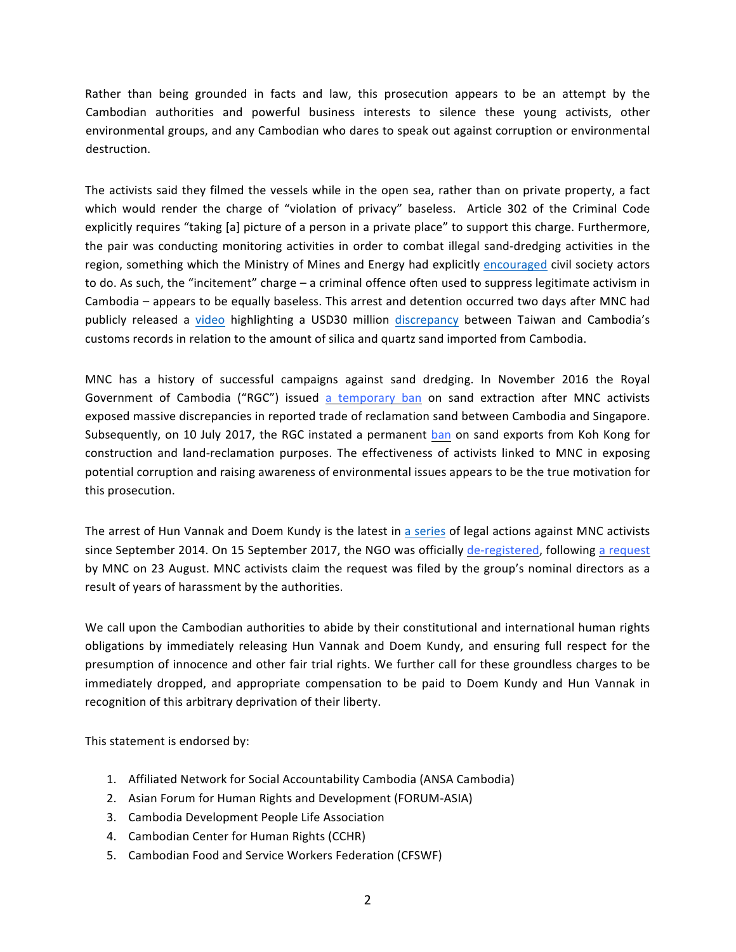Rather than being grounded in facts and law, this prosecution appears to be an attempt by the Cambodian authorities and powerful business interests to silence these young activists, other environmental groups, and any Cambodian who dares to speak out against corruption or environmental destruction.

The activists said they filmed the vessels while in the open sea, rather than on private property, a fact which would render the charge of "violation of privacy" baseless. Article 302 of the Criminal Code explicitly requires "taking [a] picture of a person in a private place" to support this charge. Furthermore, the pair was conducting monitoring activities in order to combat illegal sand-dredging activities in the region, something which the Ministry of Mines and Energy had explicitly encouraged civil society actors to do. As such, the "incitement" charge – a criminal offence often used to suppress legitimate activism in Cambodia – appears to be equally baseless. This arrest and detention occurred two days after MNC had publicly released a video highlighting a USD30 million discrepancy between Taiwan and Cambodia's customs records in relation to the amount of silica and quartz sand imported from Cambodia.

MNC has a history of successful campaigns against sand dredging. In November 2016 the Royal Government of Cambodia ("RGC") issued a temporary ban on sand extraction after MNC activists exposed massive discrepancies in reported trade of reclamation sand between Cambodia and Singapore. Subsequently, on 10 July 2017, the RGC instated a permanent ban on sand exports from Koh Kong for construction and land-reclamation purposes. The effectiveness of activists linked to MNC in exposing potential corruption and raising awareness of environmental issues appears to be the true motivation for this prosecution.

The arrest of Hun Vannak and Doem Kundy is the latest in a series of legal actions against MNC activists since September 2014. On 15 September 2017, the NGO was officially de-registered, following a request by MNC on 23 August. MNC activists claim the request was filed by the group's nominal directors as a result of years of harassment by the authorities.

We call upon the Cambodian authorities to abide by their constitutional and international human rights obligations by immediately releasing Hun Vannak and Doem Kundy, and ensuring full respect for the presumption of innocence and other fair trial rights. We further call for these groundless charges to be immediately dropped, and appropriate compensation to be paid to Doem Kundy and Hun Vannak in recognition of this arbitrary deprivation of their liberty.

This statement is endorsed by:

- 1. Affiliated Network for Social Accountability Cambodia (ANSA Cambodia)
- 2. Asian Forum for Human Rights and Development (FORUM-ASIA)
- 3. Cambodia Development People Life Association
- 4. Cambodian Center for Human Rights (CCHR)
- 5. Cambodian Food and Service Workers Federation (CFSWF)